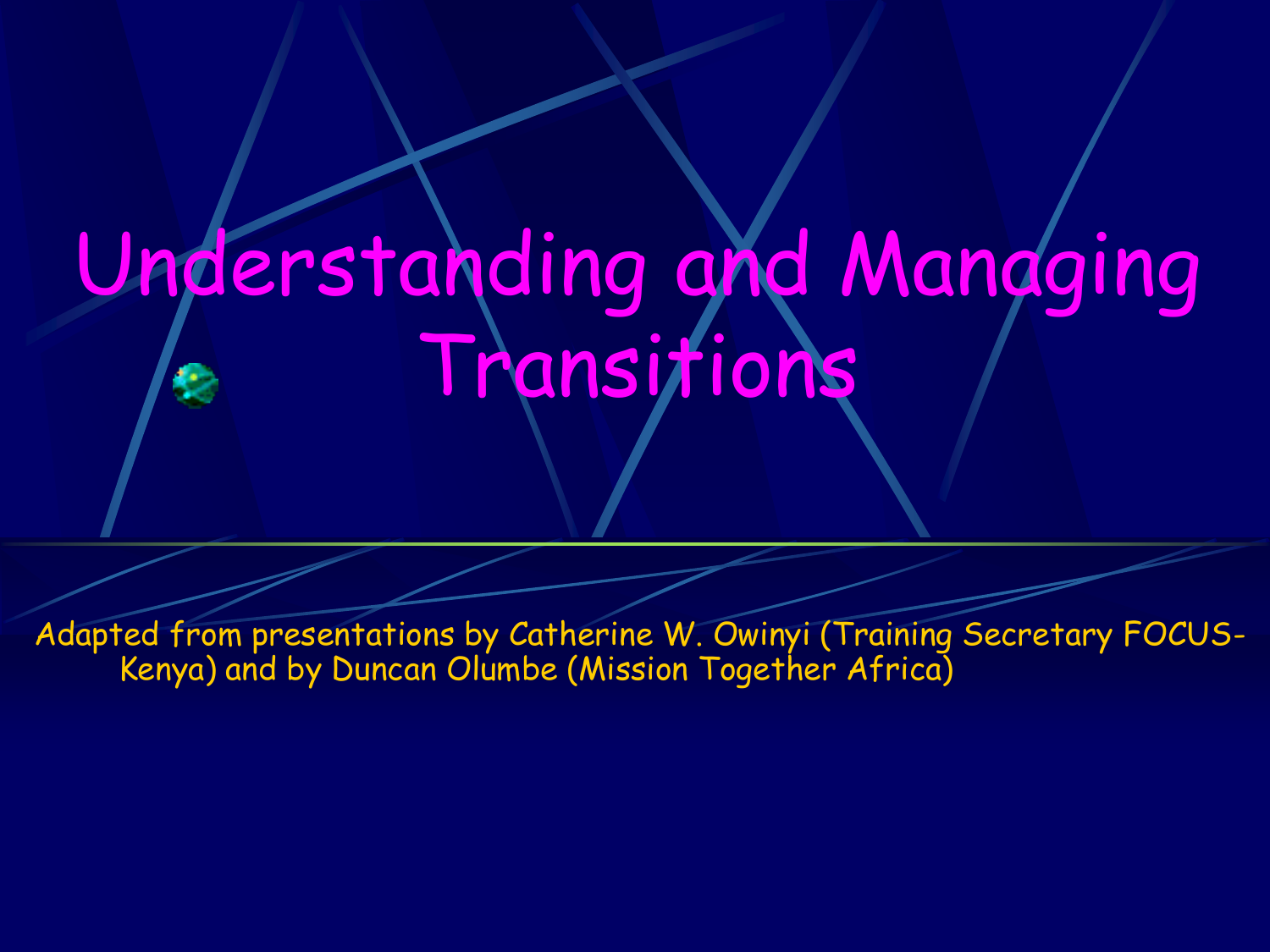# Understanding and Managing Transitions

Adapted from presentations by Catherine W. Owinyi (Training Secretary FOCUS-Kenya) and by Duncan Olumbe (Mission Together Africa)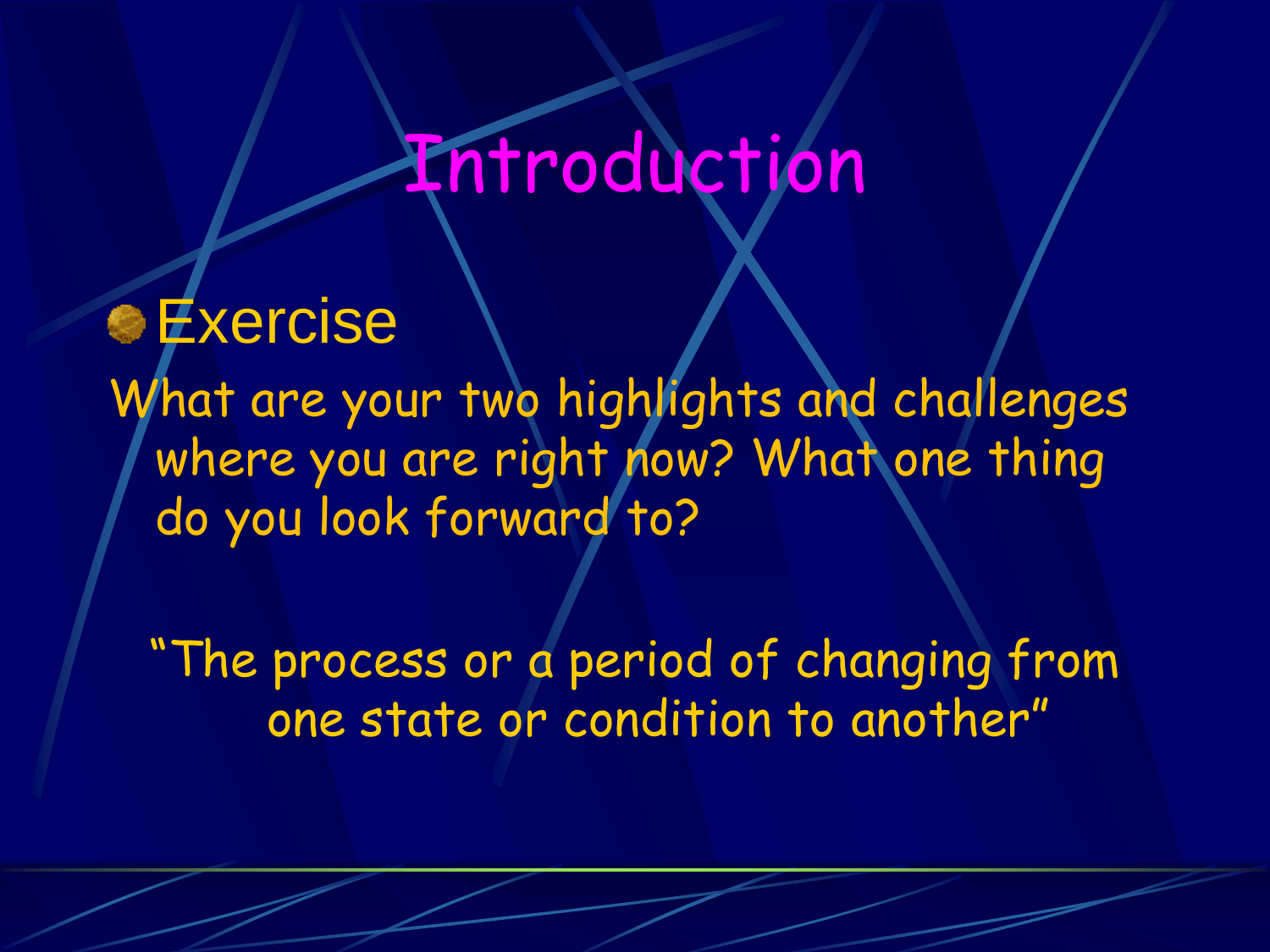## Introduction

**Exercise** What are your two highlights and challenges where you are right now? What one thing do you look forward to?

"The process or a period of changing from one state or condition to another"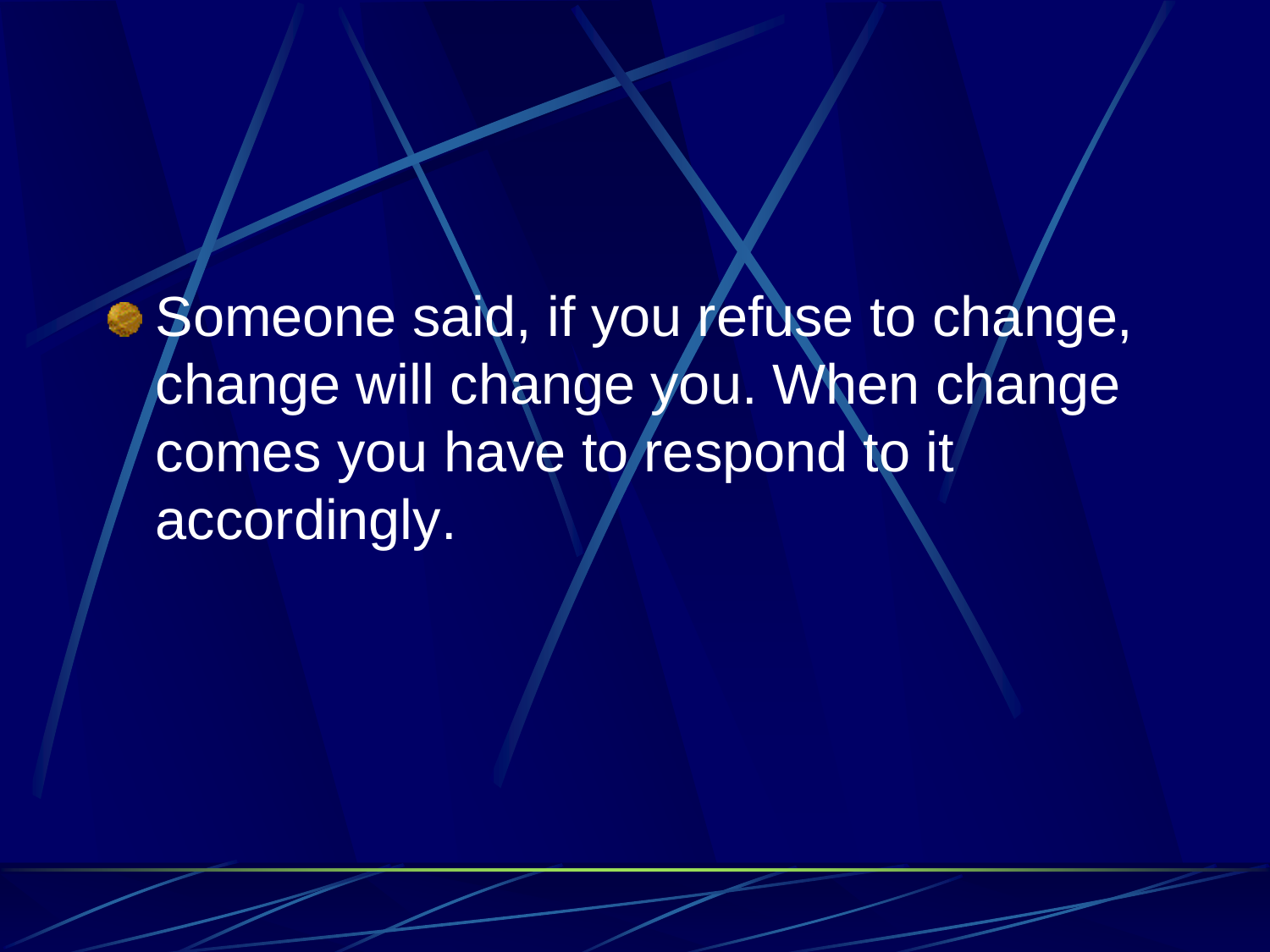Someone said, if you refuse to change, change will change you. When change comes you have to respond to it accordingly.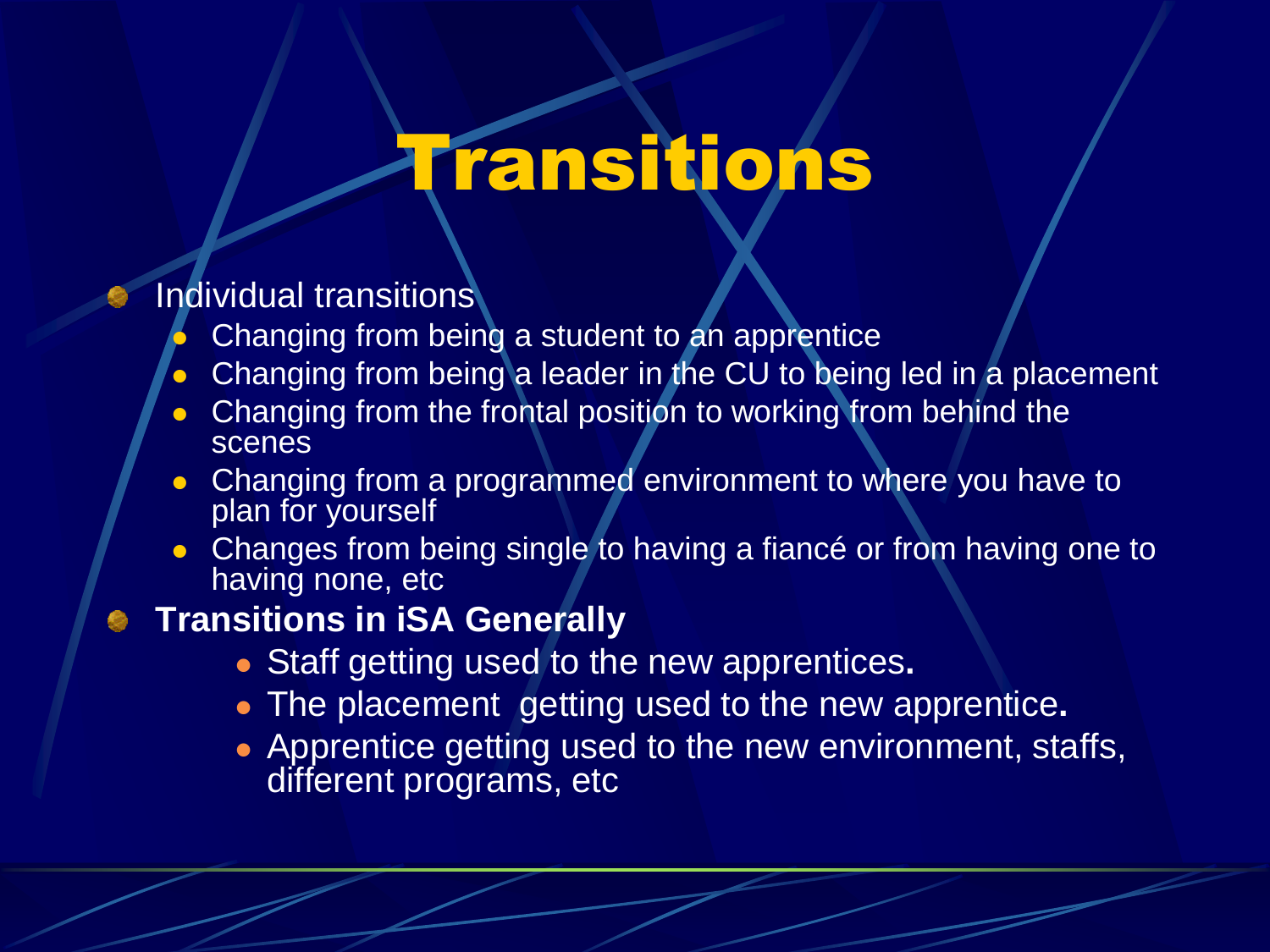## Transitions

#### Individual transitions

- Changing from being a student to an apprentice
- Changing from being a leader in the CU to being led in a placement
- Changing from the frontal position to working from behind the scenes
- Changing from a programmed environment to where you have to plan for yourself
- Changes from being single to having a fiancé or from having one to having none, etc

#### **• Transitions in iSA Generally**

- Staff getting used to the new apprentices**.**
- The placement getting used to the new apprentice**.**
- **Apprentice getting used to the new environment, staffs,** different programs, etc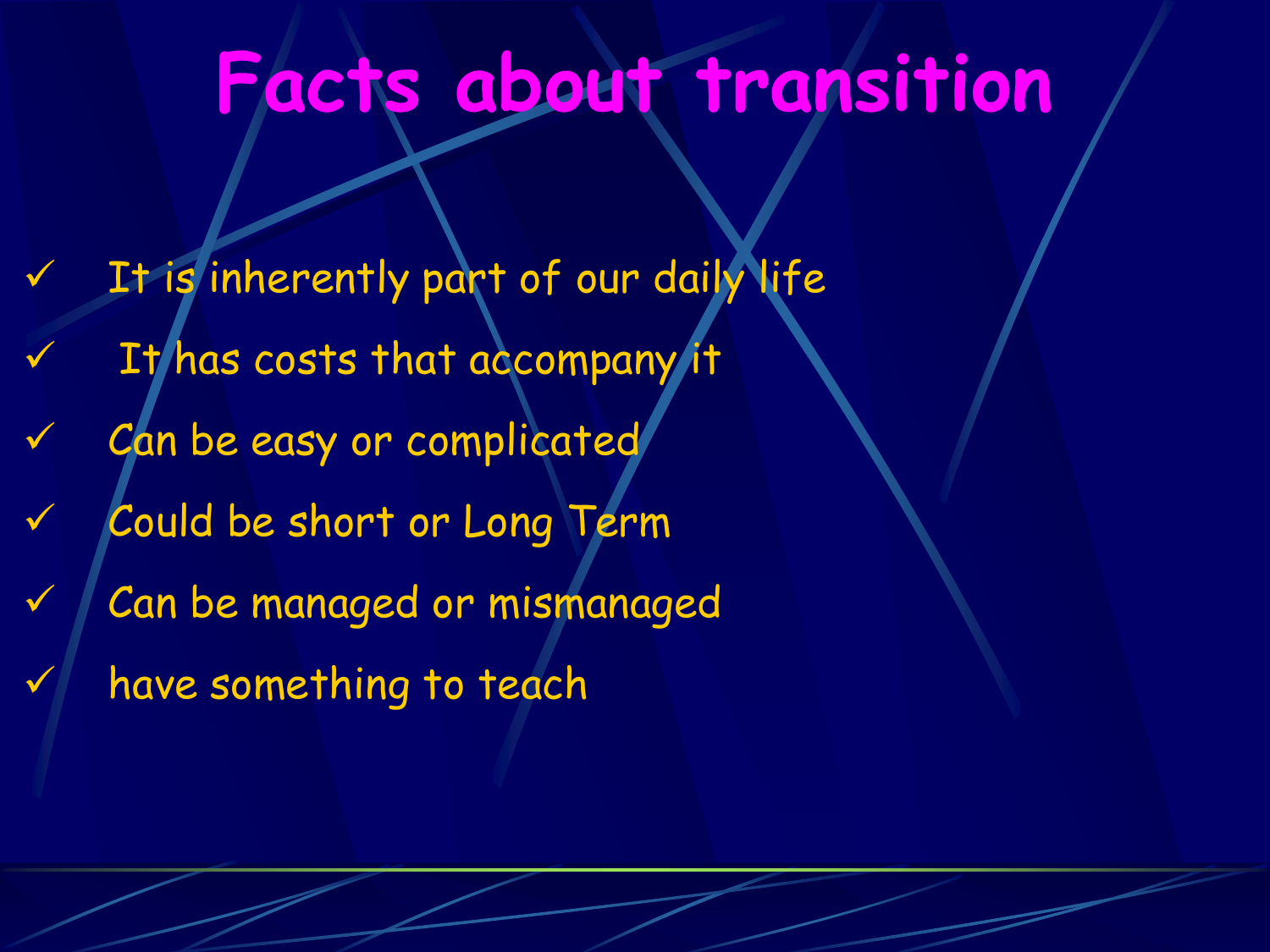## **Facts about transition**

It is inherently part of our daily life It has costs that accompany it Can be easy or complicated Could be short or Long Term Can be managed or mismanaged have something to teach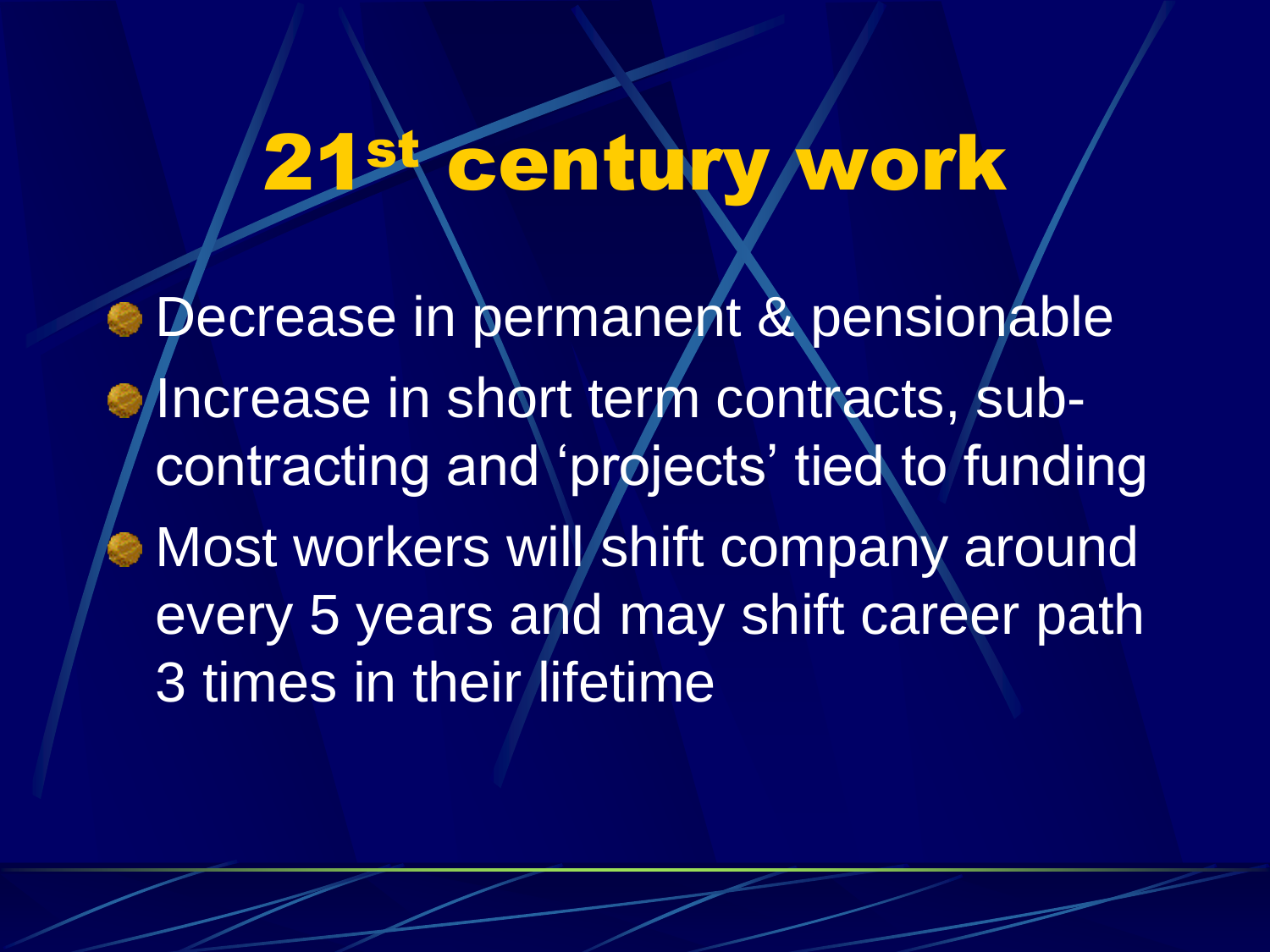## **Century work**

 $\bullet$  Decrease in permanent & pensionable Increase in short term contracts, subcontracting and 'projects' tied to funding Most workers will shift company around every 5 years and may shift career path 3 times in their lifetime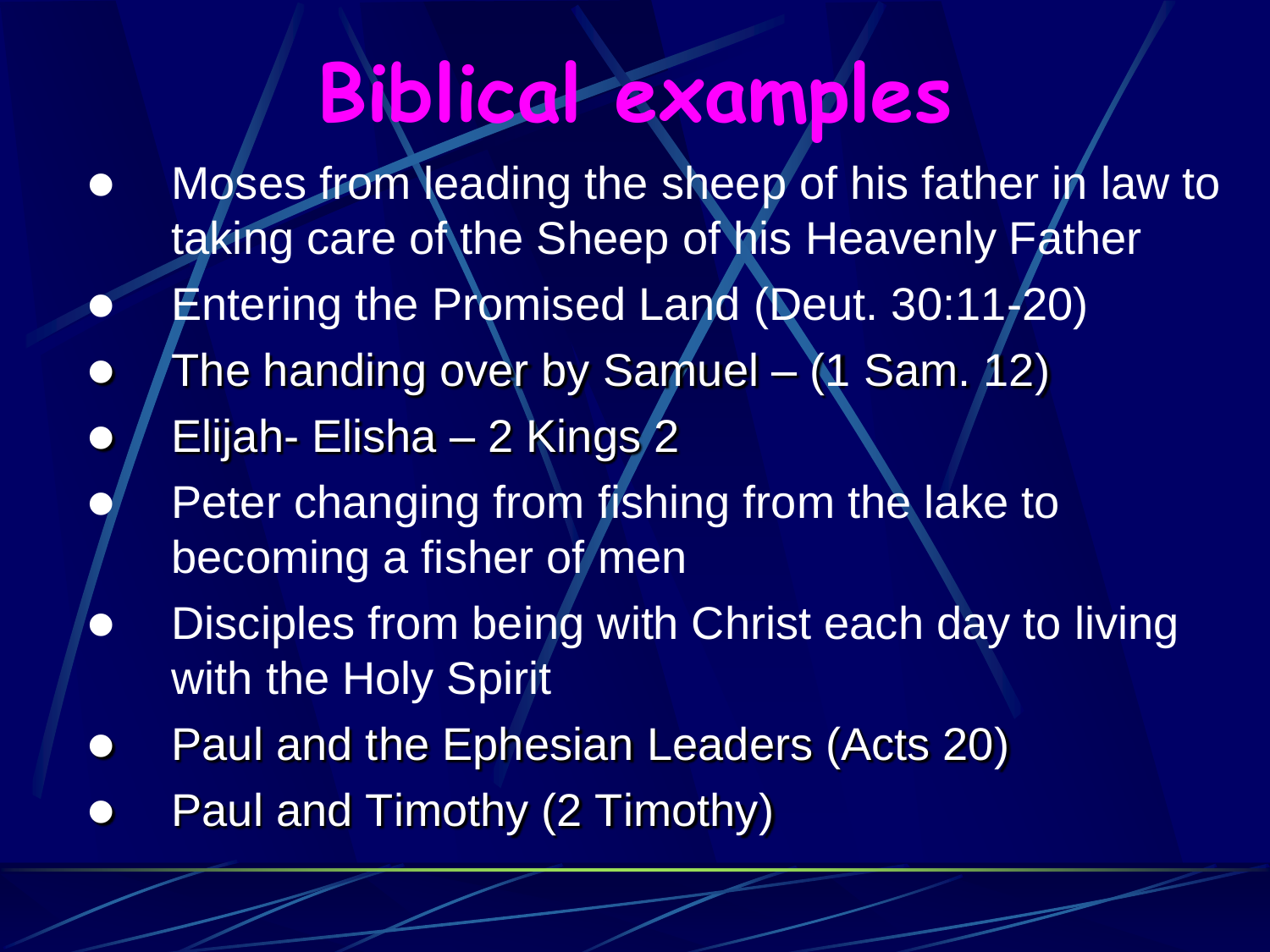## **Biblical examples**

- Moses from leading the sheep of his father in law to taking care of the Sheep of his Heavenly Father
- Entering the Promised Land (Deut. 30:11-20)
- The handing over by Samuel (1 Sam. 12)
- Elijah- Elisha 2 Kings 2
	- Peter changing from fishing from the lake to becoming a fisher of men
- Disciples from being with Christ each day to living with the Holy Spirit
- Paul and the Ephesian Leaders (Acts 20)
- Paul and Timothy (2 Timothy)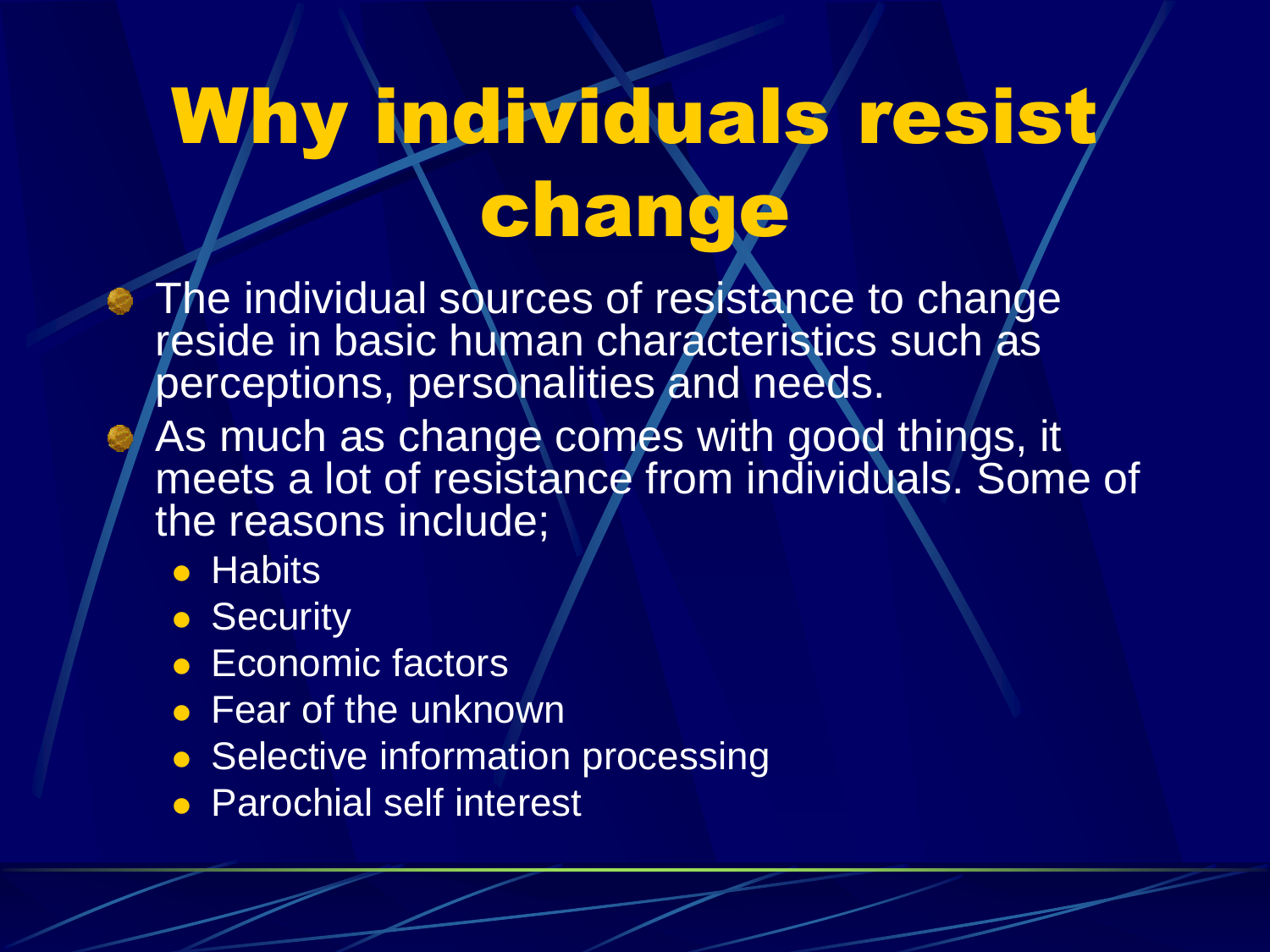# Why individuals resist change

- The individual sources of resistance to change reside in basic human characteristics such as perceptions, personalities and needs.
- As much as change comes with good things, it meets a lot of resistance from individuals. Some of the reasons include;
	- **Habits**
	- Security
	- Economic factors
	- Fear of the unknown
	- Selective information processing
	- **Parochial self interest**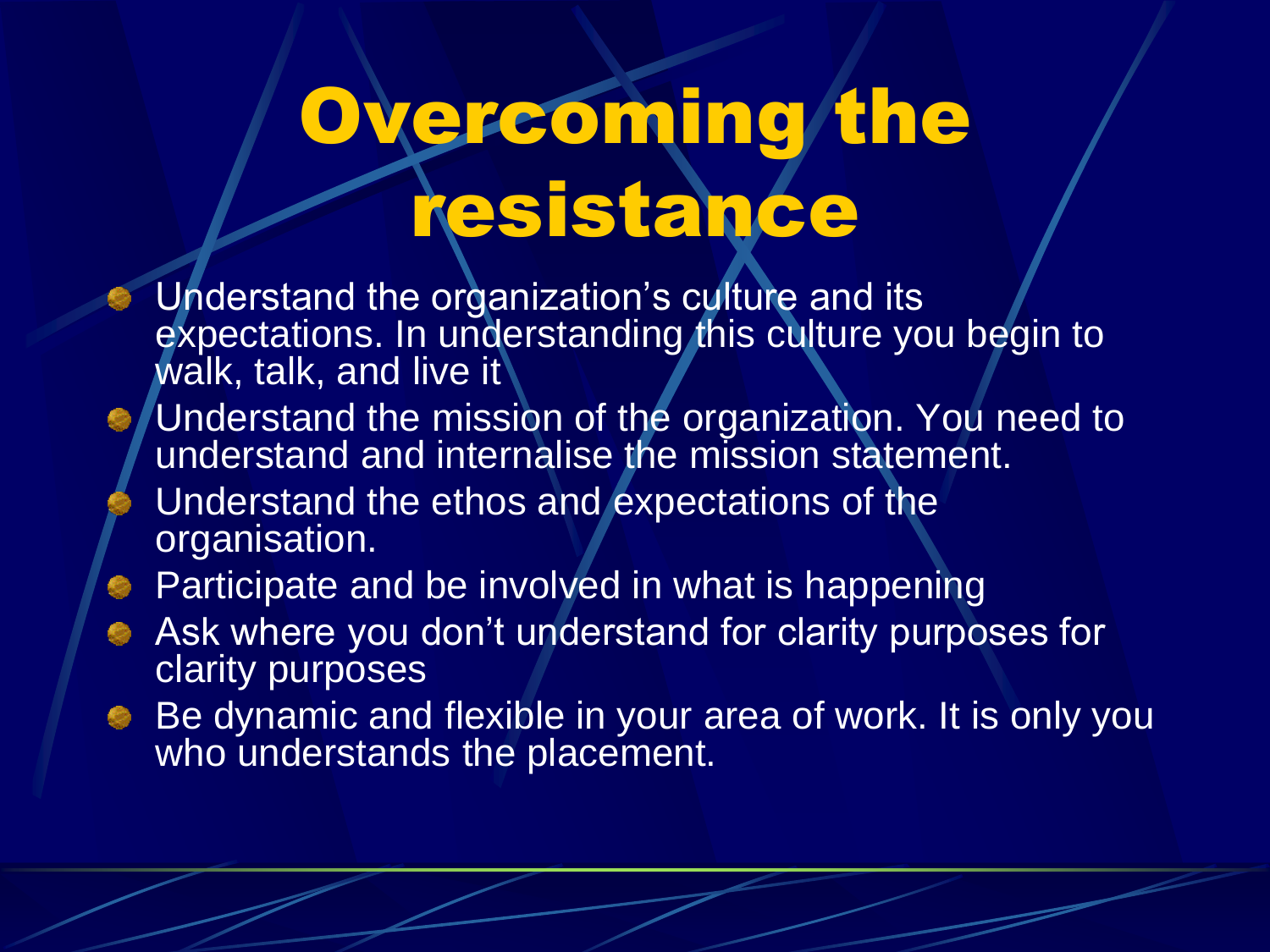# Overcoming the resistance

- Understand the organization's culture and its expectations. In understanding this culture you begin to walk, talk, and live it
- Understand the mission of the organization. You need to understand and internalise the mission statement.
- Understand the ethos and expectations of the organisation.
- **Participate and be involved in what is happening**
- Ask where you don't understand for clarity purposes for clarity purposes
- Be dynamic and flexible in your area of work. It is only you who understands the placement.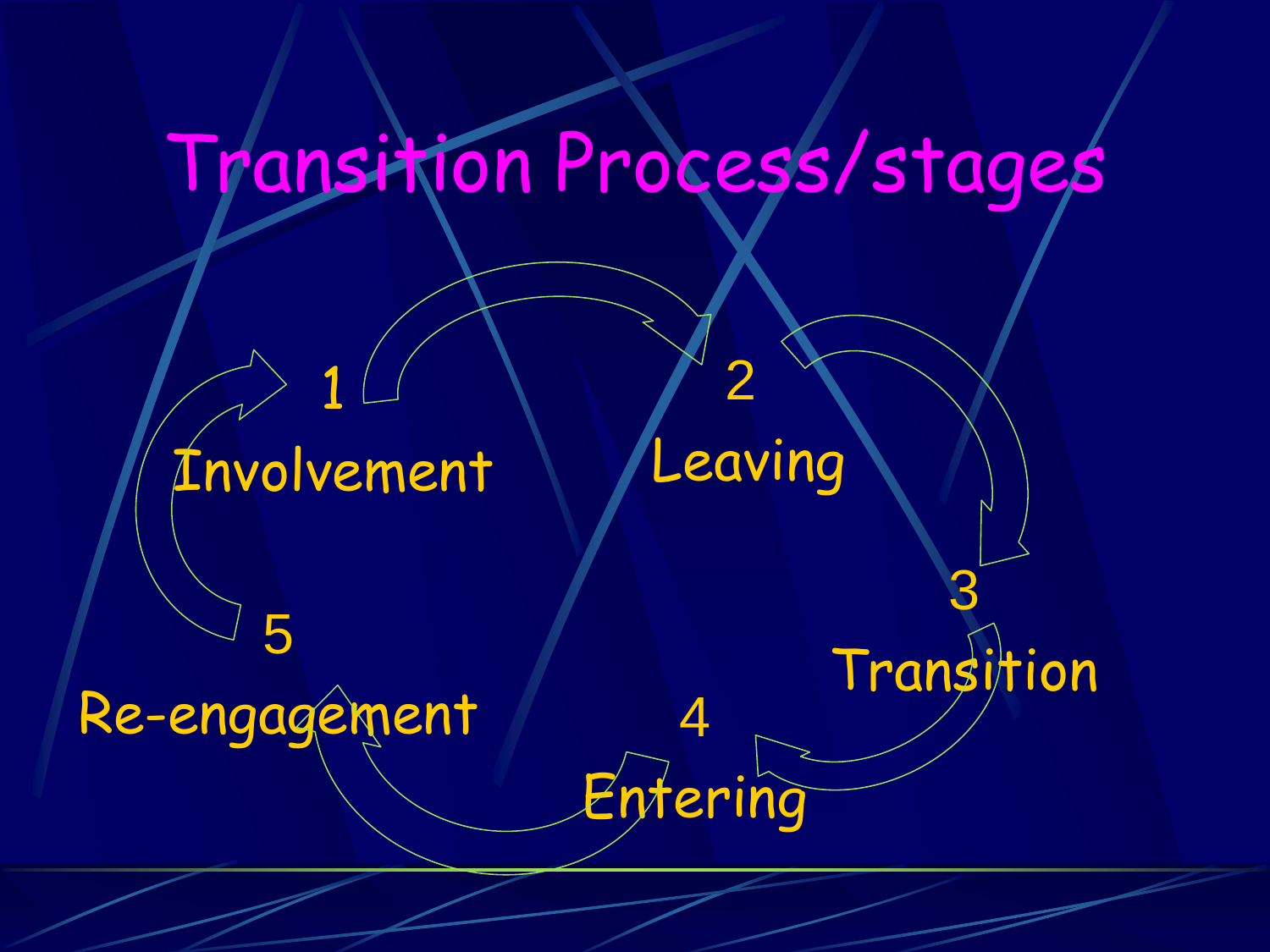## Transition Process/stages

1 Involvement 2 Leaving 3 Transition 4 Entering 5 Re-engagement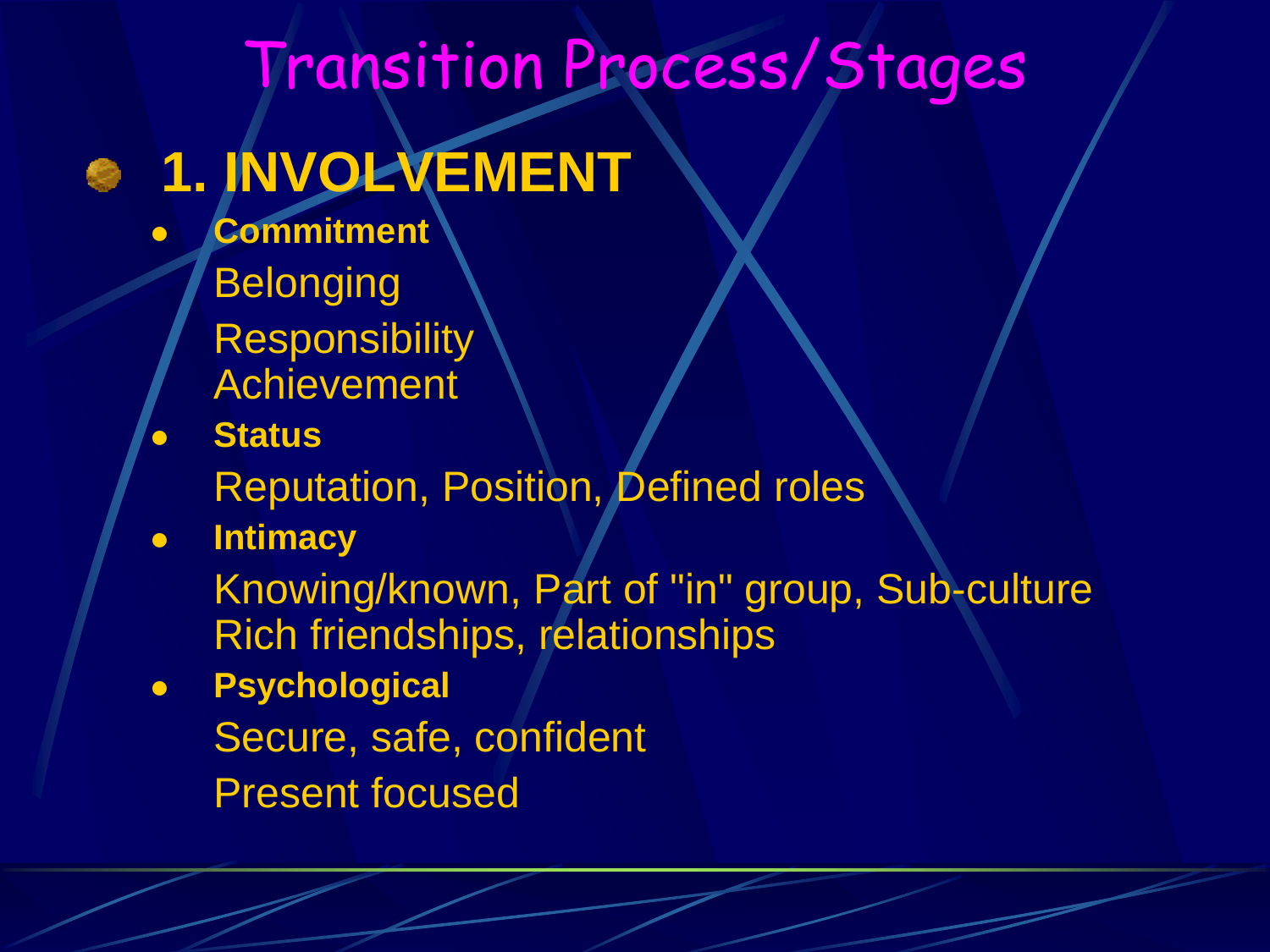### Transition Process/Stages

## **8 1. INVOLVEMENT**

- **Commitment Belonging Responsibility** Achievement
- **Status**
	- Reputation, Position, Defined roles
- **Intimacy**
	- Knowing/known, Part of "in" group, Sub-culture Rich friendships, relationships
- **Psychological** Secure, safe, confident Present focused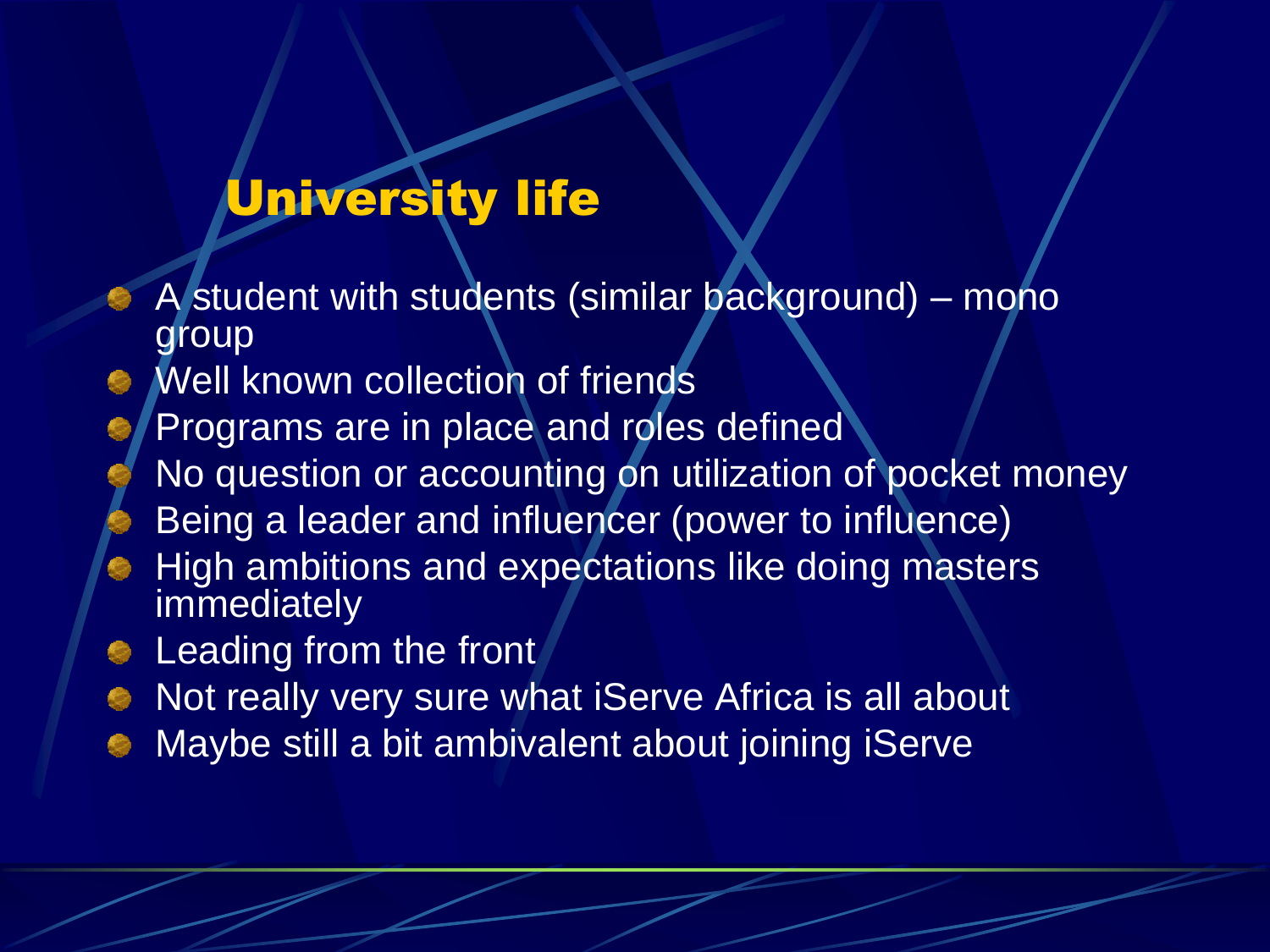### University life

- A student with students (similar background) mono group
- Well known collection of friends
- Programs are in place and roles defined
	- No question or accounting on utilization of pocket money
	- Being a leader and influencer (power to influence)
- High ambitions and expectations like doing masters immediately
- **Exercise Equipmenance Exercise Set Exercise Set Exercise Set Exercise Set Exercise Set Exercise Set Exercise S**
- Not really very sure what iServe Africa is all about
- Maybe still a bit ambivalent about joining iServe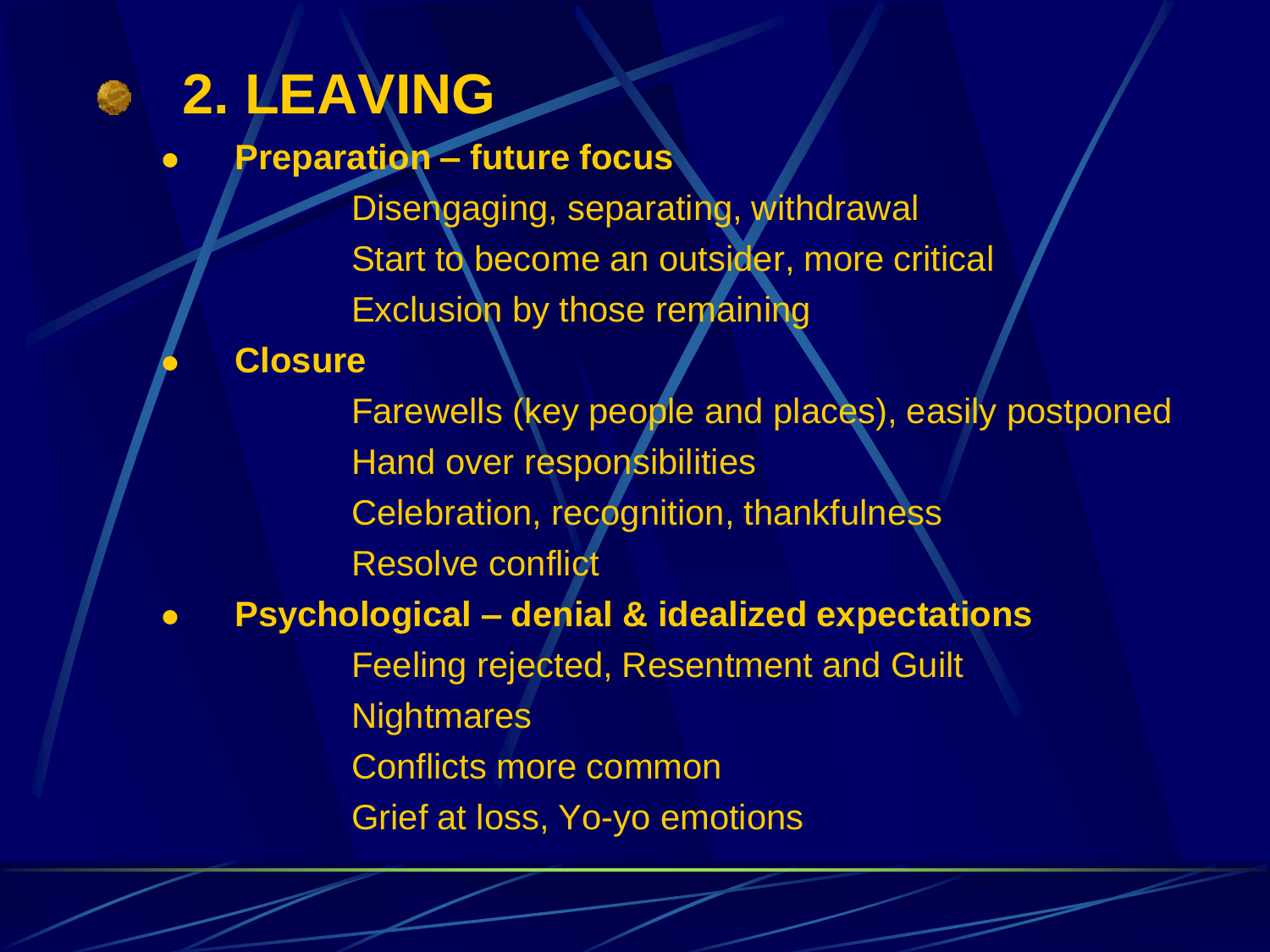### **2. LEAVING**

**Preparation – future focus**

Disengaging, separating, withdrawal Start to become an outsider, more critical Exclusion by those remaining

#### **Closure**

Farewells (key people and places), easily postponed Hand over responsibilities Celebration, recognition, thankfulness Resolve conflict **Psychological – denial & idealized expectations** Feeling rejected, Resentment and Guilt **Nightmares** 

Conflicts more common

Grief at loss, Yo-yo emotions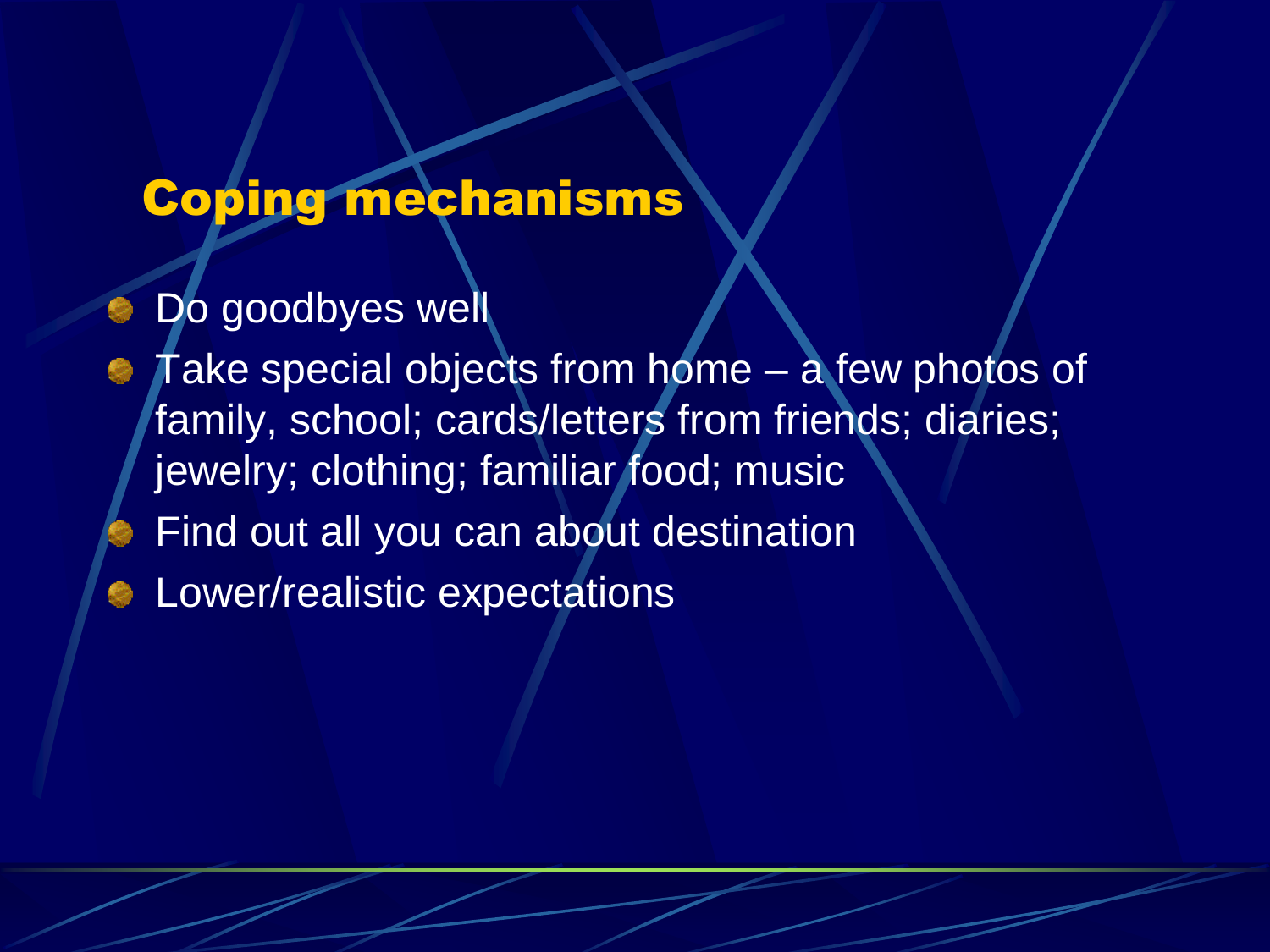### Coping mechanisms

- Do goodbyes well
- **Take special objects from home a few photos of** family, school; cards/letters from friends; diaries; jewelry; clothing; familiar food; music Find out all you can about destination **Communistic expectations**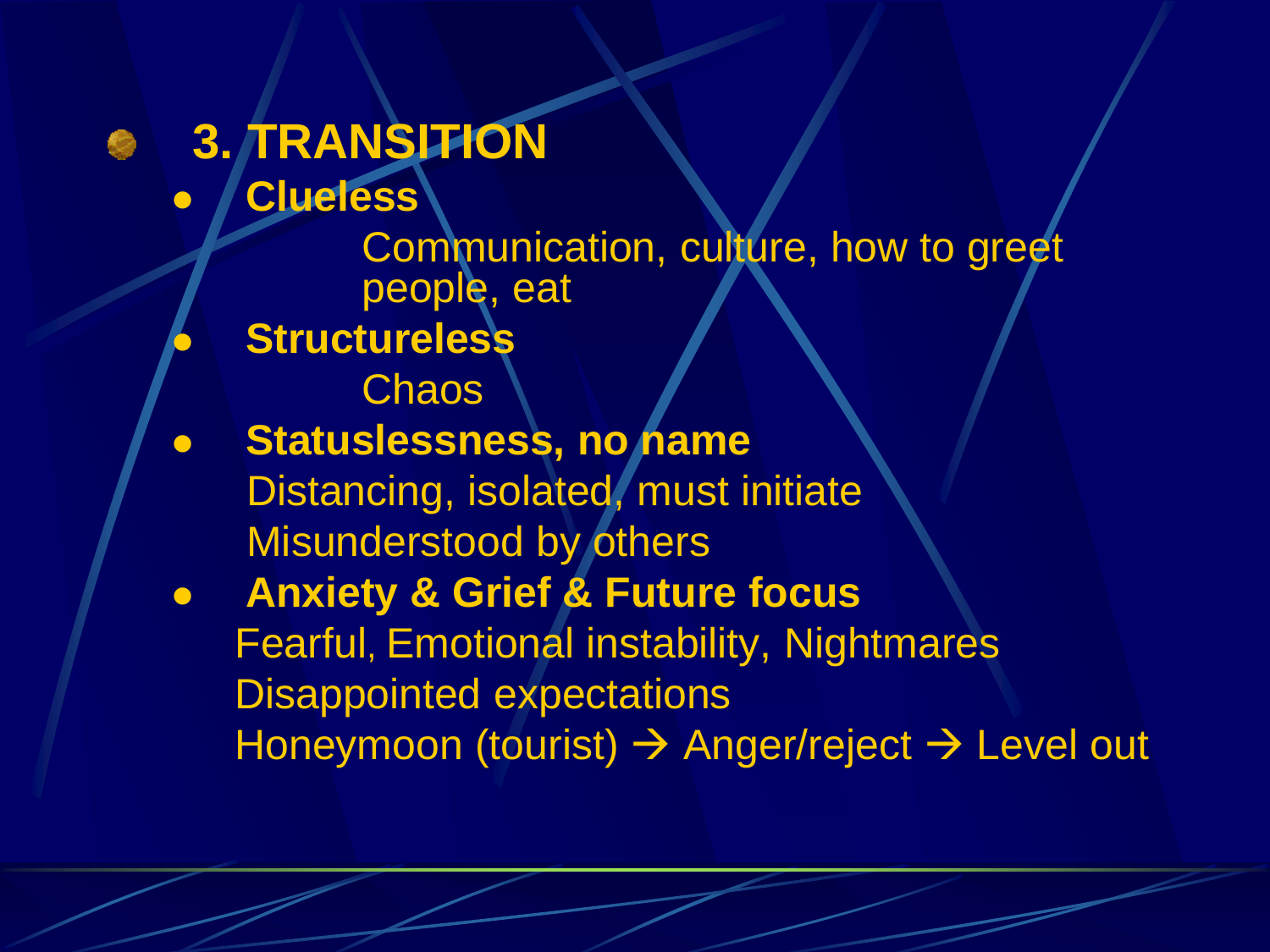### **3. TRANSITION Clueless** Communication, culture, how to greet people, eat **Structureless**

**Chaos** 

- **Statuslessness, no name** Distancing, isolated, must initiate Misunderstood by others
- **Anxiety & Grief & Future focus** Fearful, Emotional instability, Nightmares Disappointed expectations Honeymoon (tourist) → Anger/reject → Level out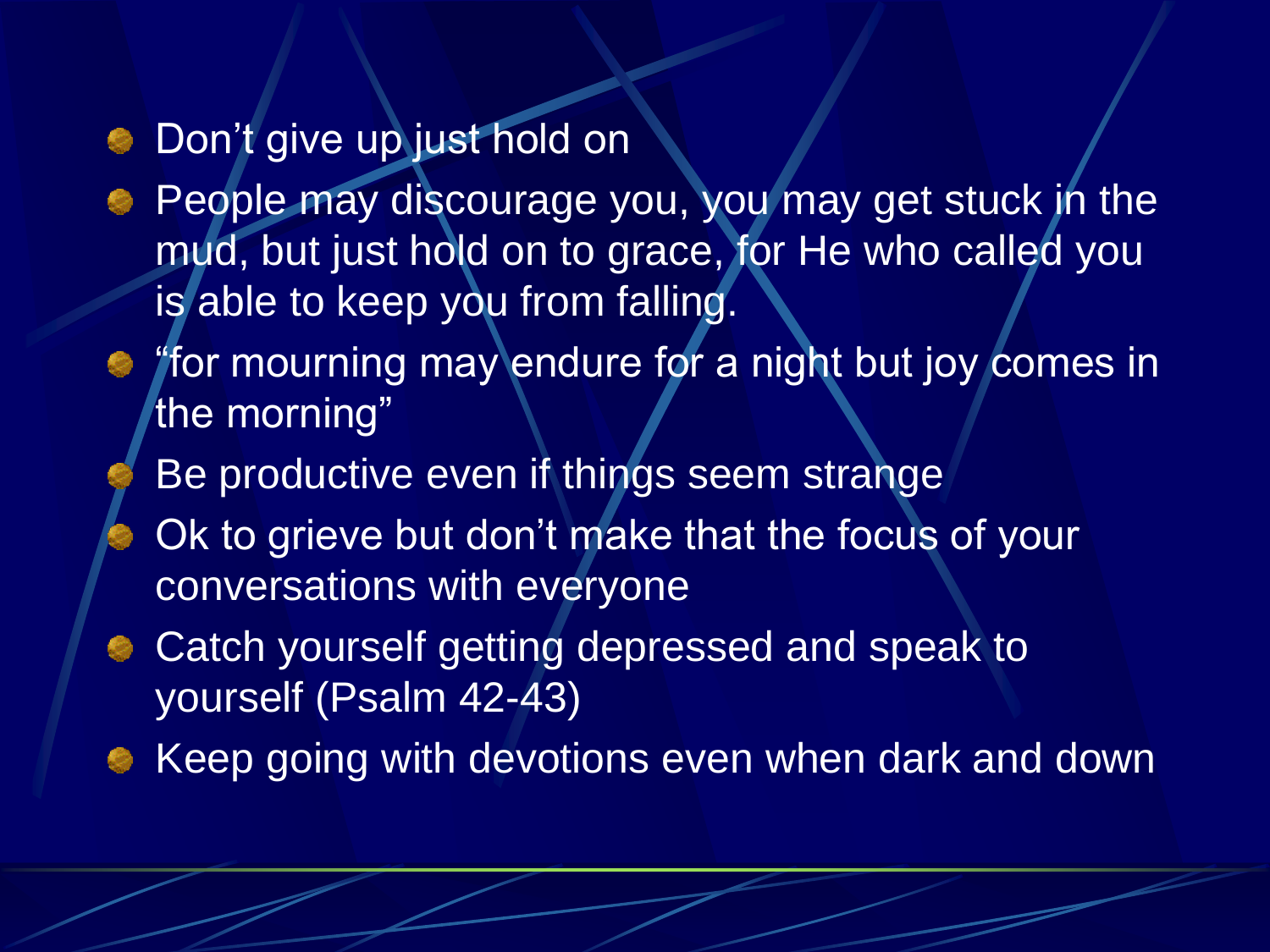#### **Don't give up just hold on**

- People may discourage you, you may get stuck in the mud, but just hold on to grace, for He who called you is able to keep you from falling.
- "for mourning may endure for a night but joy comes in the morning"
	- Be productive even if things seem strange
- Ok to grieve but don't make that the focus of your conversations with everyone
- **Catch yourself getting depressed and speak to** yourself (Psalm 42-43)
- **Keep going with devotions even when dark and down**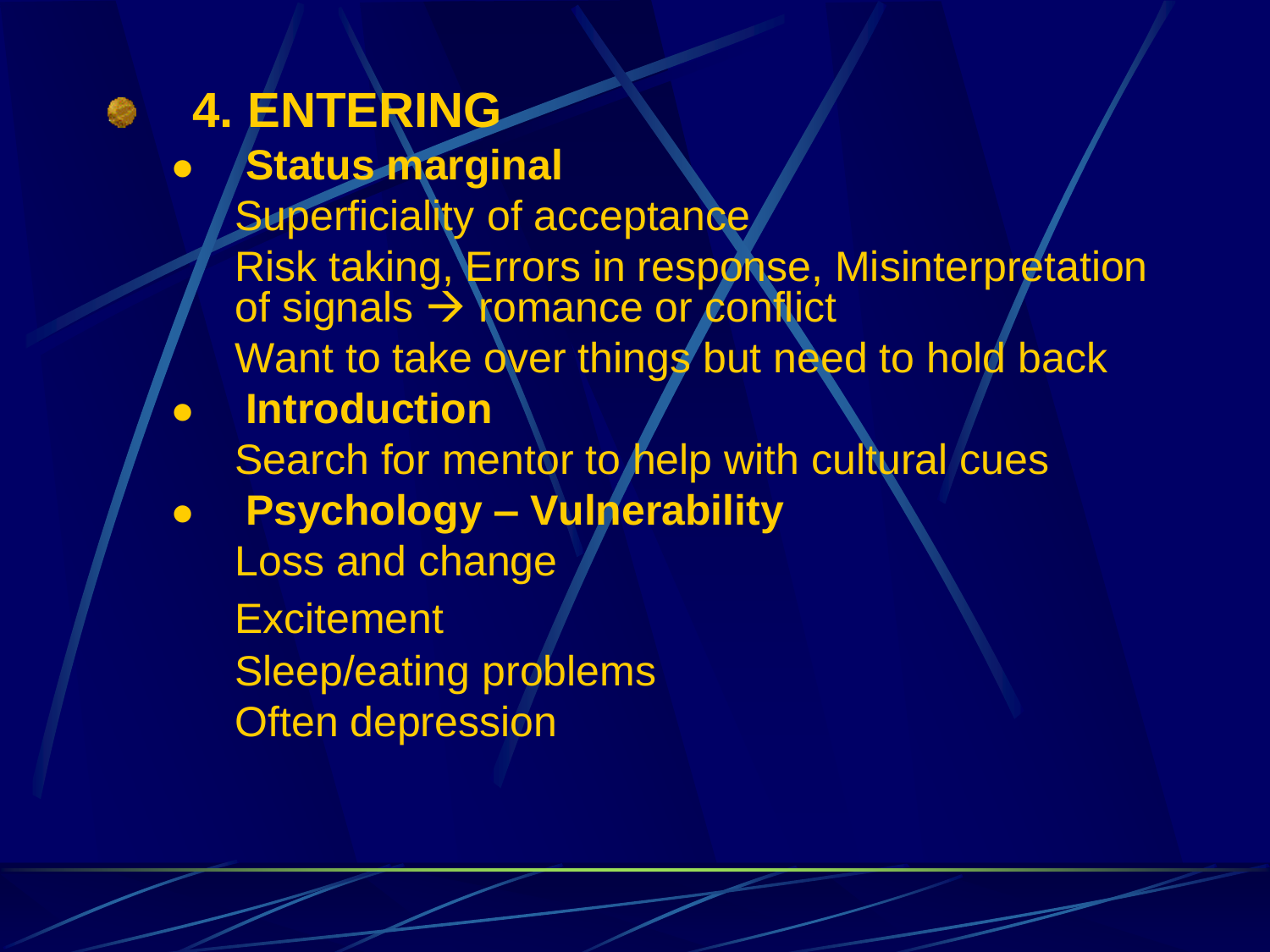### **4. ENTERING**

- **Status marginal**
	- Superficiality of acceptance Risk taking, Errors in response, Misinterpretation of signals  $\rightarrow$  romance or conflict
	- Want to take over things but need to hold back
- **Introduction** Search for mentor to help with cultural cues
- **Psychology – Vulnerability**
	- Loss and change
	- **Excitement**
	- Sleep/eating problems
	- Often depression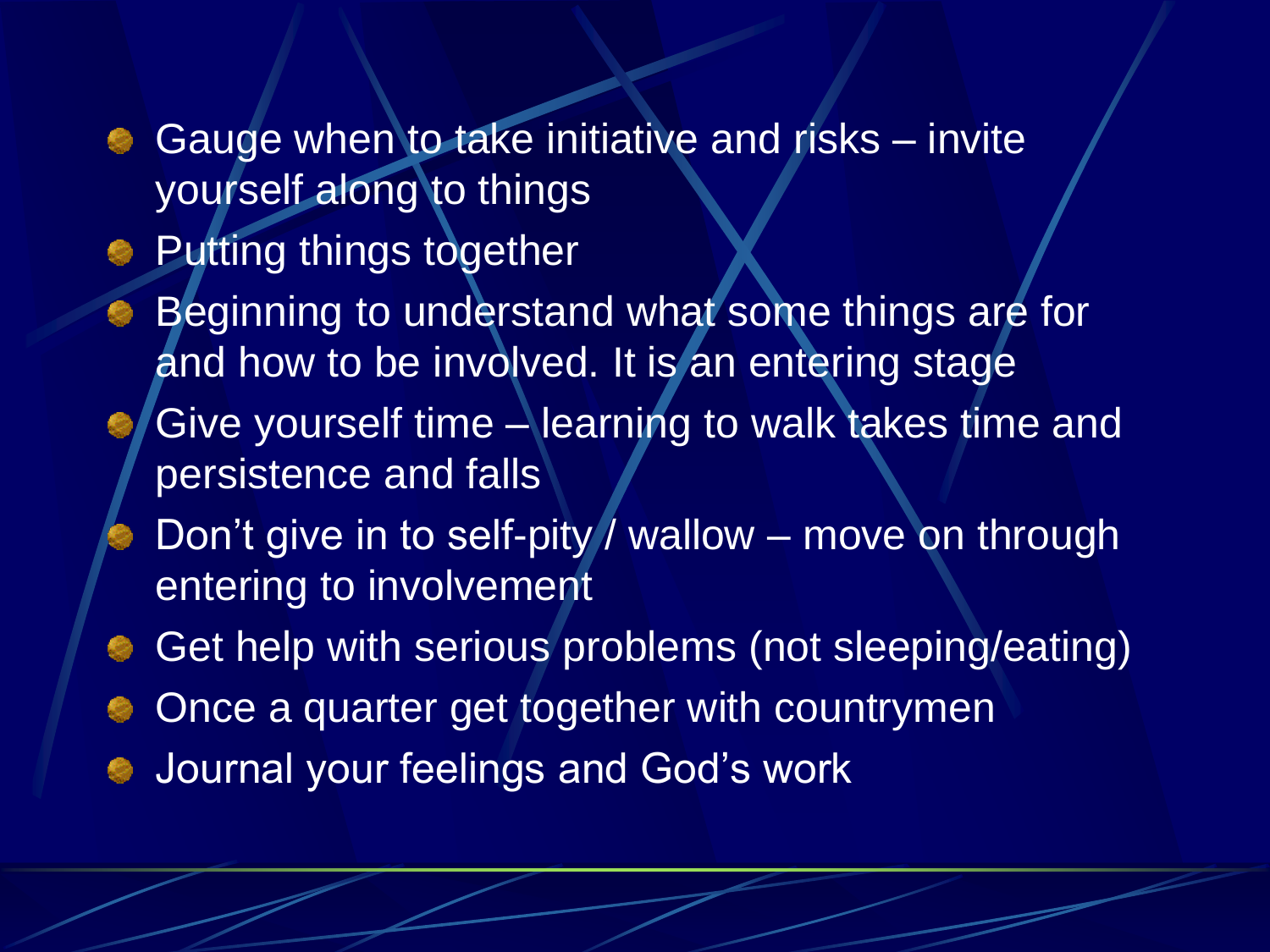- Gauge when to take initiative and risks invite yourself along to things
- **Putting things together**
- Beginning to understand what some things are for and how to be involved. It is an entering stage
- Give yourself time learning to walk takes time and persistence and falls
- Don't give in to self-pity / wallow move on through entering to involvement
- Get help with serious problems (not sleeping/eating)
- Once a quarter get together with countrymen
- Journal your feelings and God's work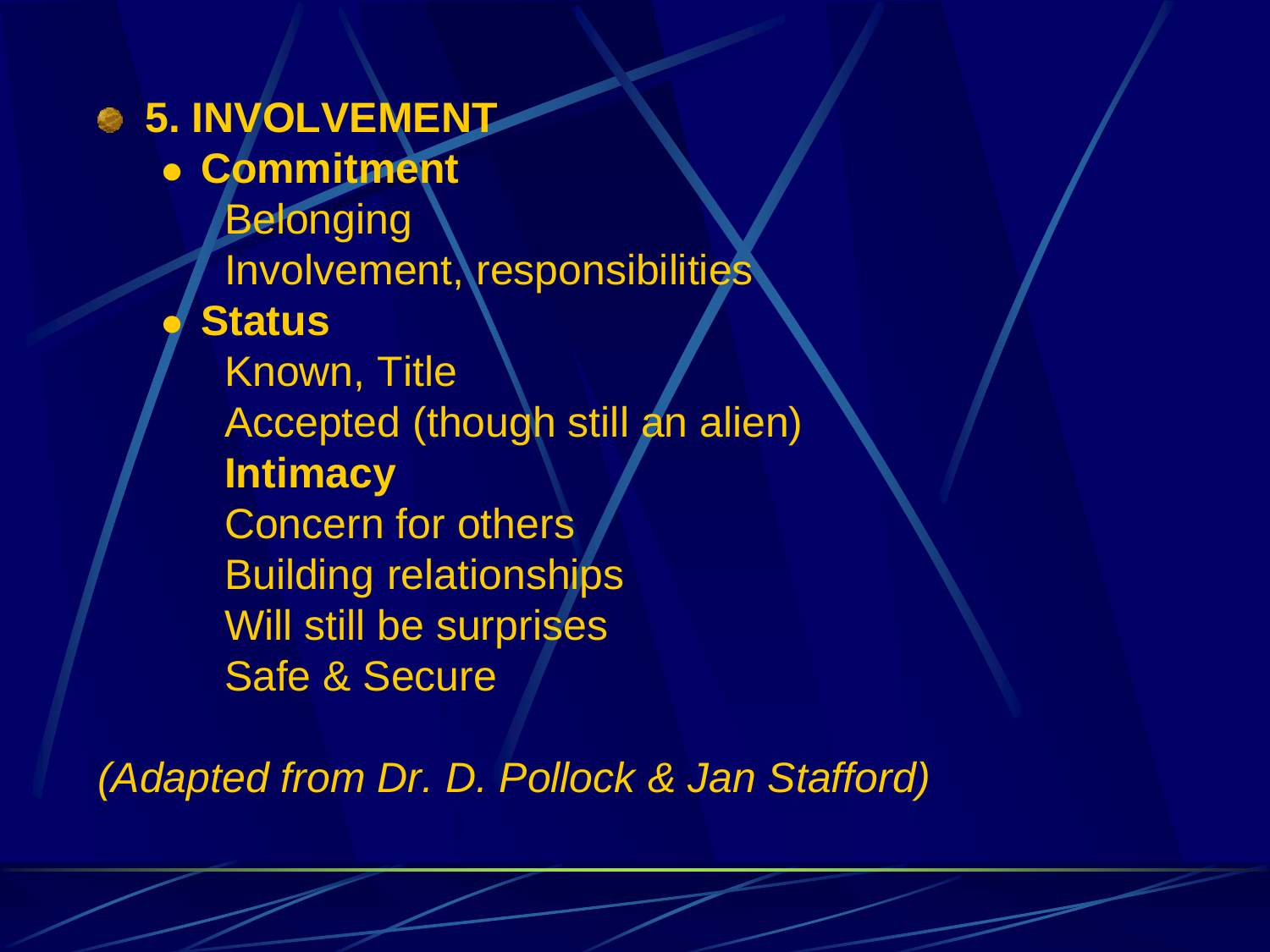#### **5. INVOLVEMENT Commitment Belonging** Involvement, responsibilities **Status** Known, Title

Accepted (though still an alien)

**Intimacy**

Concern for others Building relationships

Will still be surprises Safe & Secure

*(Adapted from Dr. D. Pollock & Jan Stafford)*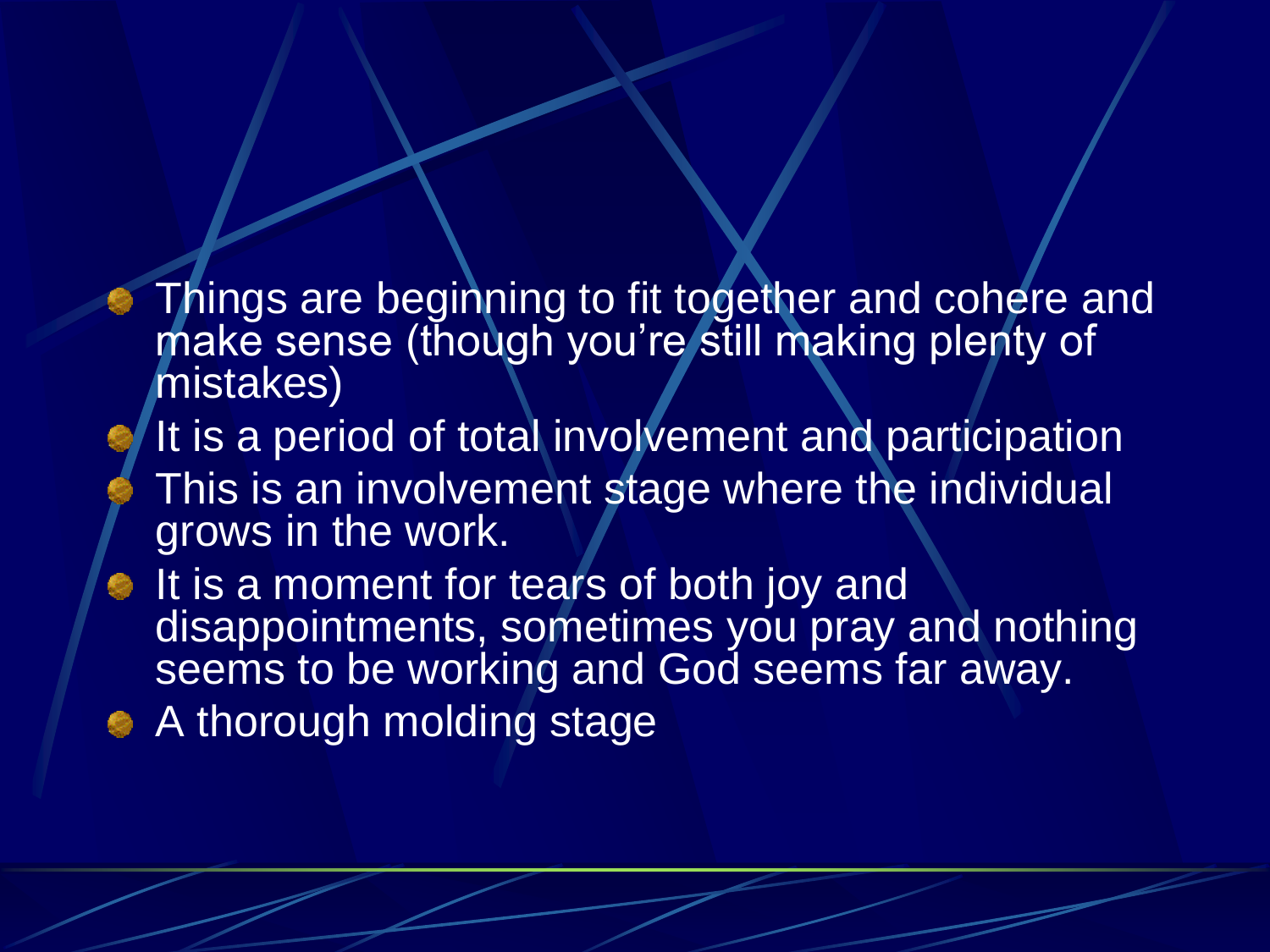- Things are beginning to fit together and cohere and make sense (though you're still making plenty of mistakes)
- It is a period of total involvement and participation This is an involvement stage where the individual grows in the work.
- It is a moment for tears of both joy and disappointments, sometimes you pray and nothing seems to be working and God seems far away.
- A thorough molding stage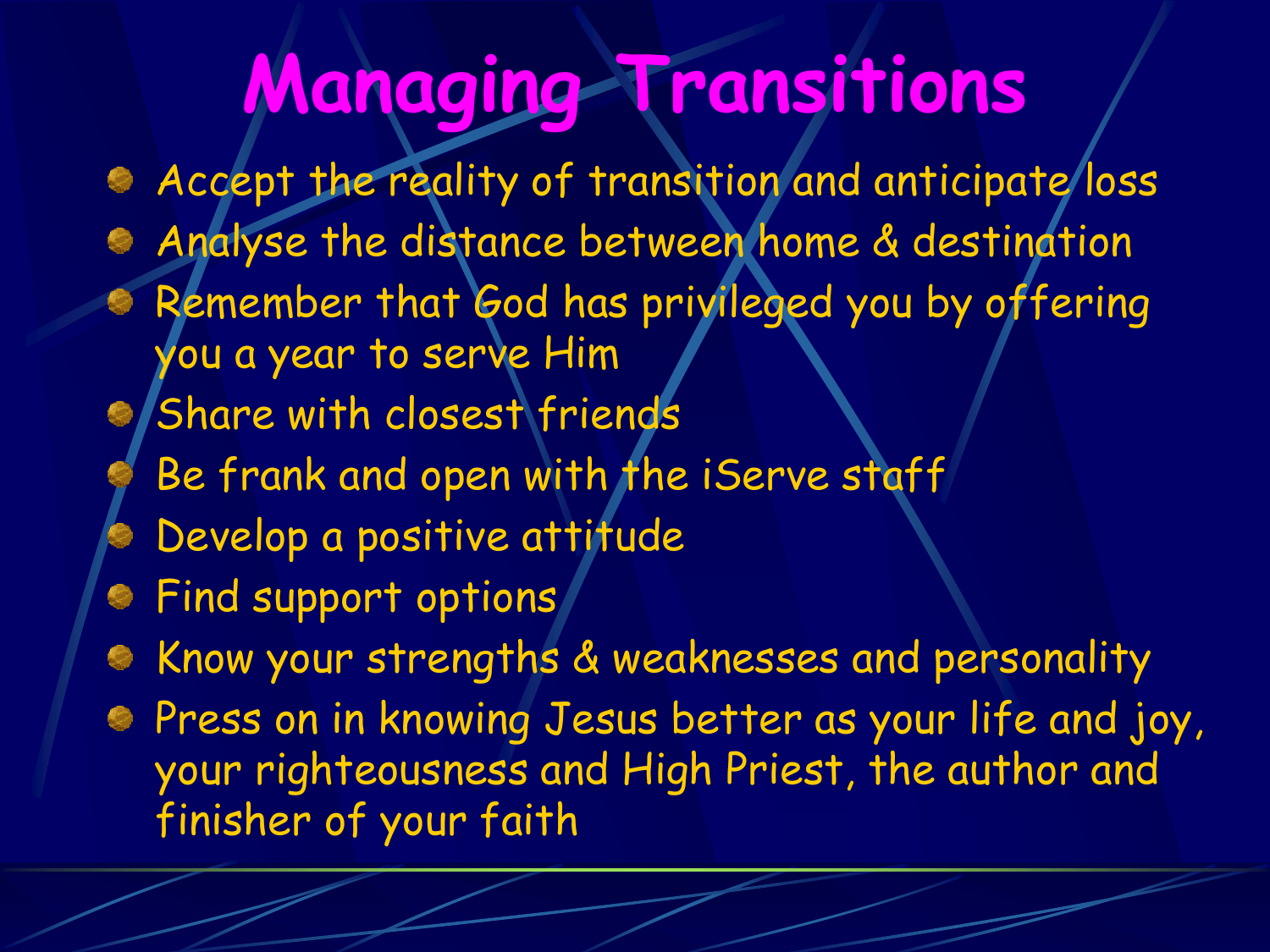## **Managing Transitions**

Accept the reality of transition and anticipate loss Analyse the distance between home & destination Remember that God has privileged you by offering you a year to serve Him Share with closest friends Be frank and open with the iServe staff Develop a positive attitude Find support options Know your strengths & weaknesses and personality Press on in knowing Jesus better as your life and joy, your righteousness and High Priest, the author and finisher of your faith